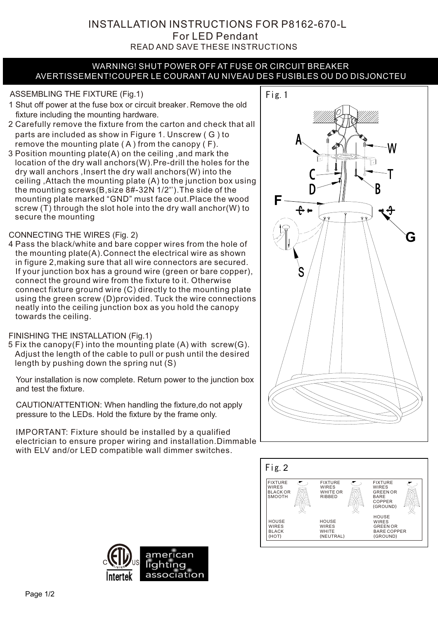INSTALLATION INSTRUCTIONS FOR P8162-670-L READ AND SAVE THESE INSTRUCTIONS For LED Pendant

#### WARNING! SHUT POWER OFF AT FUSE OR CIRCUIT BREAKER AVERTISSEMENT!COUPER LE COURANT AU NIVEAU DES FUSIBLES OU DO DISJONCTEU

# ASSEMBLING THE FIXTURE (Fig.1) Fig. 1

- 1 Shut off power at the fuse box or circuit breaker. Remove the old fixture including the mounting hardware.
- 2 Carefully remove the fixture from the carton and check that all parts are included as show in Figure 1. Unscrew ( G ) to remove the mounting plate ( A ) from the canopy ( F).
- 3 Position mounting plate(A) on the ceiling ,and mark the location of the dry wall anchors(W).Pre-drill the holes for the dry wall anchors ,Insert the dry wall anchors(W) into the ceiling ,Attach the mounting plate (A) to the junction box using the mounting screws(B,size 8#-32N 1/2'').The side of the mounting plate marked "GND" must face out.Place the wood screw (T) through the slot hole into the dry wall anchor(W) to secure the mounting

### CONNECTING THE WIRES (Fig. 2)

4 Pass the black/white and bare copper wires from the hole of the mounting plate(A).Connect the electrical wire as shown in figure 2,making sure that all wire connectors are secured. If your junction box has a ground wire (green or bare copper), connect the ground wire from the fixture to it. Otherwise connect fixture ground wire (C) directly to the mounting plate using the green screw (D)provided. Tuck the wire connections neatly into the ceiling junction box as you hold the canopy towards the ceiling.

#### FINISHING THE INSTALLATION (Fig.1)

5 Fix the canopy(F) into the mounting plate (A) with screw(G). Adjust the length of the cable to pull or push until the desired length by pushing down the spring nut (S)

Your installation is now complete. Return power to the junction box and test the fixture.

CAUTION/ATTENTION: When handling the fixture,do not apply pressure to the LEDs. Hold the fixture by the frame only.

IMPORTANT: Fixture should be installed by a qualified electrician to ensure proper wiring and installation.Dimmable with ELV and/or LED compatible wall dimmer switches.